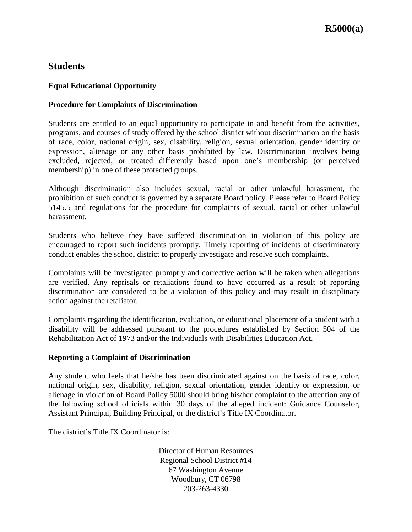# **Students**

## **Equal Educational Opportunity**

#### **Procedure for Complaints of Discrimination**

Students are entitled to an equal opportunity to participate in and benefit from the activities, programs, and courses of study offered by the school district without discrimination on the basis of race, color, national origin, sex, disability, religion, sexual orientation, gender identity or expression, alienage or any other basis prohibited by law. Discrimination involves being excluded, rejected, or treated differently based upon one's membership (or perceived membership) in one of these protected groups.

Although discrimination also includes sexual, racial or other unlawful harassment, the prohibition of such conduct is governed by a separate Board policy. Please refer to Board Policy 5145.5 and regulations for the procedure for complaints of sexual, racial or other unlawful harassment.

Students who believe they have suffered discrimination in violation of this policy are encouraged to report such incidents promptly. Timely reporting of incidents of discriminatory conduct enables the school district to properly investigate and resolve such complaints.

Complaints will be investigated promptly and corrective action will be taken when allegations are verified. Any reprisals or retaliations found to have occurred as a result of reporting discrimination are considered to be a violation of this policy and may result in disciplinary action against the retaliator.

Complaints regarding the identification, evaluation, or educational placement of a student with a disability will be addressed pursuant to the procedures established by Section 504 of the Rehabilitation Act of 1973 and/or the Individuals with Disabilities Education Act.

#### **Reporting a Complaint of Discrimination**

Any student who feels that he/she has been discriminated against on the basis of race, color, national origin, sex, disability, religion, sexual orientation, gender identity or expression, or alienage in violation of Board Policy 5000 should bring his/her complaint to the attention any of the following school officials within 30 days of the alleged incident: Guidance Counselor, Assistant Principal, Building Principal, or the district's Title IX Coordinator.

The district's Title IX Coordinator is:

Director of Human Resources Regional School District #14 67 Washington Avenue Woodbury, CT 06798 203-263-4330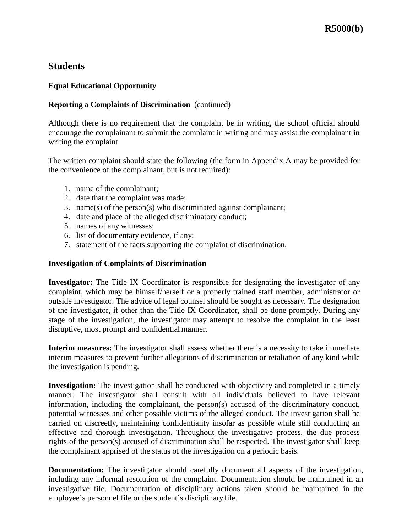## **Students**

### **Equal Educational Opportunity**

#### **Reporting a Complaints of Discrimination** (continued)

Although there is no requirement that the complaint be in writing, the school official should encourage the complainant to submit the complaint in writing and may assist the complainant in writing the complaint.

The written complaint should state the following (the form in Appendix A may be provided for the convenience of the complainant, but is not required):

- 1. name of the complainant;
- 2. date that the complaint was made;
- 3. name(s) of the person(s) who discriminated against complainant;
- 4. date and place of the alleged discriminatory conduct;
- 5. names of any witnesses;
- 6. list of documentary evidence, if any;
- 7. statement of the facts supporting the complaint of discrimination.

#### **Investigation of Complaints of Discrimination**

**Investigator:** The Title IX Coordinator is responsible for designating the investigator of any complaint, which may be himself/herself or a properly trained staff member, administrator or outside investigator. The advice of legal counsel should be sought as necessary. The designation of the investigator, if other than the Title IX Coordinator, shall be done promptly. During any stage of the investigation, the investigator may attempt to resolve the complaint in the least disruptive, most prompt and confidential manner.

**Interim measures:** The investigator shall assess whether there is a necessity to take immediate interim measures to prevent further allegations of discrimination or retaliation of any kind while the investigation is pending.

**Investigation:** The investigation shall be conducted with objectivity and completed in a timely manner. The investigator shall consult with all individuals believed to have relevant information, including the complainant, the person(s) accused of the discriminatory conduct, potential witnesses and other possible victims of the alleged conduct. The investigation shall be carried on discreetly, maintaining confidentiality insofar as possible while still conducting an effective and thorough investigation. Throughout the investigative process, the due process rights of the person(s) accused of discrimination shall be respected. The investigator shall keep the complainant apprised of the status of the investigation on a periodic basis.

**Documentation:** The investigator should carefully document all aspects of the investigation, including any informal resolution of the complaint. Documentation should be maintained in an investigative file. Documentation of disciplinary actions taken should be maintained in the employee's personnel file or the student's disciplinary file.